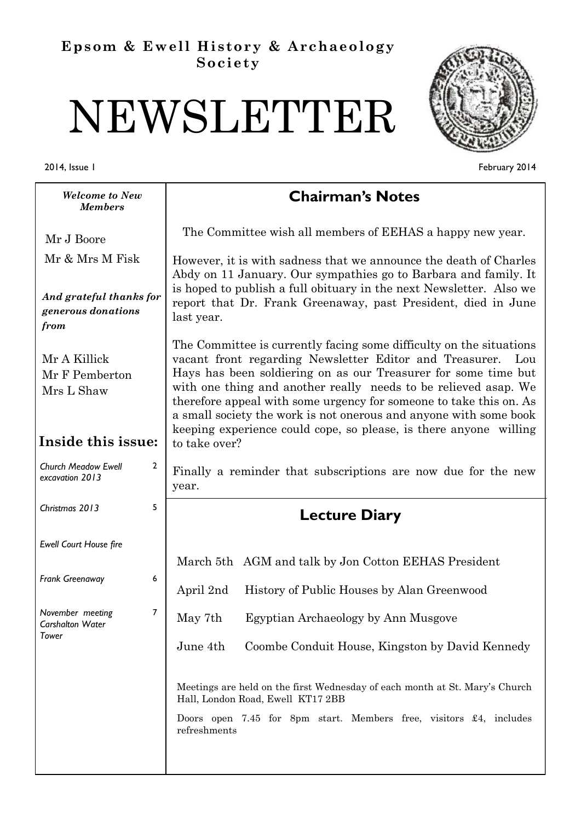# **Epsom & Ewell History & Archaeology Society**

# NEWSLETTER

February 2014

2014, Issue 1

| <b>Welcome to New</b><br><b>Members</b>                            | <b>Chairman's Notes</b>                                                                                                                                                                                                                                                                                                                                                                                                                                                                                     |  |
|--------------------------------------------------------------------|-------------------------------------------------------------------------------------------------------------------------------------------------------------------------------------------------------------------------------------------------------------------------------------------------------------------------------------------------------------------------------------------------------------------------------------------------------------------------------------------------------------|--|
| Mr J Boore                                                         | The Committee wish all members of EEHAS a happy new year.                                                                                                                                                                                                                                                                                                                                                                                                                                                   |  |
| Mr & Mrs M Fisk                                                    | However, it is with sadness that we announce the death of Charles<br>Abdy on 11 January. Our sympathies go to Barbara and family. It<br>is hoped to publish a full obituary in the next Newsletter. Also we<br>report that Dr. Frank Greenaway, past President, died in June<br>last year.                                                                                                                                                                                                                  |  |
| And grateful thanks for<br>generous donations<br>from              |                                                                                                                                                                                                                                                                                                                                                                                                                                                                                                             |  |
| Mr A Killick<br>Mr F Pemberton<br>Mrs L Shaw<br>Inside this issue: | The Committee is currently facing some difficulty on the situations<br>vacant front regarding Newsletter Editor and Treasurer.<br>Lou<br>Hays has been soldiering on as our Treasurer for some time but<br>with one thing and another really needs to be relieved asap. We<br>therefore appeal with some urgency for someone to take this on. As<br>a small society the work is not onerous and anyone with some book<br>keeping experience could cope, so please, is there anyone willing<br>to take over? |  |
| <b>Church Meadow Ewell</b><br>$\overline{2}$<br>excavation 2013    | Finally a reminder that subscriptions are now due for the new<br>year.                                                                                                                                                                                                                                                                                                                                                                                                                                      |  |
| 5<br>Christmas 2013                                                | <b>Lecture Diary</b>                                                                                                                                                                                                                                                                                                                                                                                                                                                                                        |  |
| Ewell Court House fire                                             |                                                                                                                                                                                                                                                                                                                                                                                                                                                                                                             |  |
| 6<br>Frank Greenaway                                               | March 5th AGM and talk by Jon Cotton EEHAS President<br>History of Public Houses by Alan Greenwood<br>April 2nd                                                                                                                                                                                                                                                                                                                                                                                             |  |
| 7<br>November meeting<br>Carshalton Water                          | May 7th<br>Egyptian Archaeology by Ann Musgove                                                                                                                                                                                                                                                                                                                                                                                                                                                              |  |
| Tower                                                              | Coombe Conduit House, Kingston by David Kennedy<br>June 4th                                                                                                                                                                                                                                                                                                                                                                                                                                                 |  |
|                                                                    | Meetings are held on the first Wednesday of each month at St. Mary's Church<br>Hall, London Road, Ewell KT17 2BB                                                                                                                                                                                                                                                                                                                                                                                            |  |
|                                                                    | Doors open 7.45 for 8pm start. Members free, visitors £4, includes<br>refreshments                                                                                                                                                                                                                                                                                                                                                                                                                          |  |
|                                                                    |                                                                                                                                                                                                                                                                                                                                                                                                                                                                                                             |  |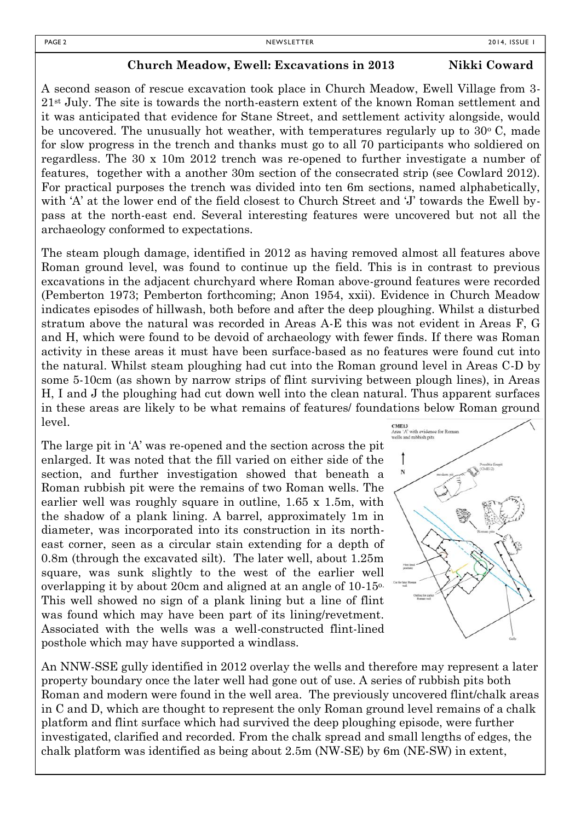#### **Church Meadow, Ewell: Excavations in 2013** Nikki Coward

A second season of rescue excavation took place in Church Meadow, Ewell Village from 3- 21st July. The site is towards the north-eastern extent of the known Roman settlement and it was anticipated that evidence for Stane Street, and settlement activity alongside, would be uncovered. The unusually hot weather, with temperatures regularly up to  $30^{\circ}$  C, made for slow progress in the trench and thanks must go to all 70 participants who soldiered on regardless. The 30 x 10m 2012 trench was re-opened to further investigate a number of features, together with a another 30m section of the consecrated strip (see Cowlard 2012). For practical purposes the trench was divided into ten 6m sections, named alphabetically, with 'A' at the lower end of the field closest to Church Street and 'J' towards the Ewell bypass at the north-east end. Several interesting features were uncovered but not all the archaeology conformed to expectations.

The steam plough damage, identified in 2012 as having removed almost all features above Roman ground level, was found to continue up the field. This is in contrast to previous excavations in the adjacent churchyard where Roman above-ground features were recorded (Pemberton 1973; Pemberton forthcoming; Anon 1954, xxii). Evidence in Church Meadow indicates episodes of hillwash, both before and after the deep ploughing. Whilst a disturbed stratum above the natural was recorded in Areas A-E this was not evident in Areas F, G and H, which were found to be devoid of archaeology with fewer finds. If there was Roman activity in these areas it must have been surface-based as no features were found cut into the natural. Whilst steam ploughing had cut into the Roman ground level in Areas C-D by some 5-10cm (as shown by narrow strips of flint surviving between plough lines), in Areas H, I and J the ploughing had cut down well into the clean natural. Thus apparent surfaces in these areas are likely to be what remains of features/ foundations below Roman ground level. CME13

The large pit in 'A' was re-opened and the section across the pit enlarged. It was noted that the fill varied on either side of the section, and further investigation showed that beneath a Roman rubbish pit were the remains of two Roman wells. The earlier well was roughly square in outline, 1.65 x 1.5m, with the shadow of a plank lining. A barrel, approximately 1m in diameter, was incorporated into its construction in its northeast corner, seen as a circular stain extending for a depth of 0.8m (through the excavated silt). The later well, about 1.25m square, was sunk slightly to the west of the earlier well overlapping it by about 20cm and aligned at an angle of 10-15o. This well showed no sign of a plank lining but a line of flint was found which may have been part of its lining/revetment. Associated with the wells was a well-constructed flint-lined posthole which may have supported a windlass.



An NNW-SSE gully identified in 2012 overlay the wells and therefore may represent a later property boundary once the later well had gone out of use. A series of rubbish pits both Roman and modern were found in the well area. The previously uncovered flint/chalk areas in C and D, which are thought to represent the only Roman ground level remains of a chalk platform and flint surface which had survived the deep ploughing episode, were further investigated, clarified and recorded. From the chalk spread and small lengths of edges, the chalk platform was identified as being about 2.5m (NW-SE) by 6m (NE-SW) in extent,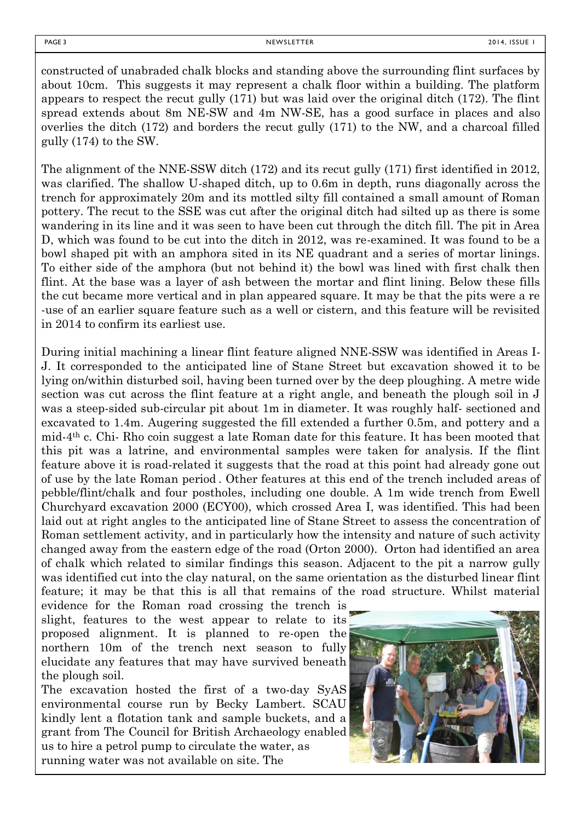constructed of unabraded chalk blocks and standing above the surrounding flint surfaces by about 10cm. This suggests it may represent a chalk floor within a building. The platform appears to respect the recut gully (171) but was laid over the original ditch (172). The flint spread extends about 8m NE-SW and 4m NW-SE, has a good surface in places and also overlies the ditch (172) and borders the recut gully (171) to the NW, and a charcoal filled gully (174) to the SW.

The alignment of the NNE-SSW ditch (172) and its recut gully (171) first identified in 2012, was clarified. The shallow U-shaped ditch, up to 0.6m in depth, runs diagonally across the trench for approximately 20m and its mottled silty fill contained a small amount of Roman pottery. The recut to the SSE was cut after the original ditch had silted up as there is some wandering in its line and it was seen to have been cut through the ditch fill. The pit in Area D, which was found to be cut into the ditch in 2012, was re-examined. It was found to be a bowl shaped pit with an amphora sited in its NE quadrant and a series of mortar linings. To either side of the amphora (but not behind it) the bowl was lined with first chalk then flint. At the base was a layer of ash between the mortar and flint lining. Below these fills the cut became more vertical and in plan appeared square. It may be that the pits were a re -use of an earlier square feature such as a well or cistern, and this feature will be revisited in 2014 to confirm its earliest use.

During initial machining a linear flint feature aligned NNE-SSW was identified in Areas I-J. It corresponded to the anticipated line of Stane Street but excavation showed it to be lying on/within disturbed soil, having been turned over by the deep ploughing. A metre wide section was cut across the flint feature at a right angle, and beneath the plough soil in J was a steep-sided sub-circular pit about 1m in diameter. It was roughly half- sectioned and excavated to 1.4m. Augering suggested the fill extended a further 0.5m, and pottery and a mid-4th c. Chi- Rho coin suggest a late Roman date for this feature. It has been mooted that this pit was a latrine, and environmental samples were taken for analysis. If the flint feature above it is road-related it suggests that the road at this point had already gone out of use by the late Roman period . Other features at this end of the trench included areas of pebble/flint/chalk and four postholes, including one double. A 1m wide trench from Ewell Churchyard excavation 2000 (ECY00), which crossed Area I, was identified. This had been laid out at right angles to the anticipated line of Stane Street to assess the concentration of Roman settlement activity, and in particularly how the intensity and nature of such activity changed away from the eastern edge of the road (Orton 2000). Orton had identified an area of chalk which related to similar findings this season. Adjacent to the pit a narrow gully was identified cut into the clay natural, on the same orientation as the disturbed linear flint feature; it may be that this is all that remains of the road structure. Whilst material

evidence for the Roman road crossing the trench is slight, features to the west appear to relate to its proposed alignment. It is planned to re-open the northern 10m of the trench next season to fully elucidate any features that may have survived beneath the plough soil.

The excavation hosted the first of a two-day SyAS environmental course run by Becky Lambert. SCAU kindly lent a flotation tank and sample buckets, and a grant from The Council for British Archaeology enabled us to hire a petrol pump to circulate the water, as running water was not available on site. The

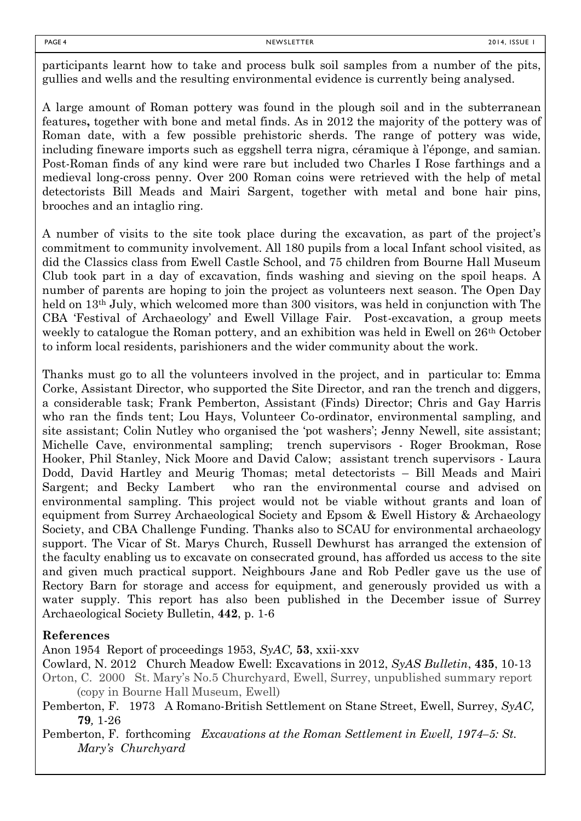participants learnt how to take and process bulk soil samples from a number of the pits, gullies and wells and the resulting environmental evidence is currently being analysed.

A large amount of Roman pottery was found in the plough soil and in the subterranean features**,** together with bone and metal finds. As in 2012 the majority of the pottery was of Roman date, with a few possible prehistoric sherds. The range of pottery was wide, including fineware imports such as eggshell terra nigra, céramique à l'éponge, and samian. Post-Roman finds of any kind were rare but included two Charles I Rose farthings and a medieval long-cross penny. Over 200 Roman coins were retrieved with the help of metal detectorists Bill Meads and Mairi Sargent, together with metal and bone hair pins, brooches and an intaglio ring.

A number of visits to the site took place during the excavation, as part of the project's commitment to community involvement. All 180 pupils from a local Infant school visited, as did the Classics class from Ewell Castle School, and 75 children from Bourne Hall Museum Club took part in a day of excavation, finds washing and sieving on the spoil heaps. A number of parents are hoping to join the project as volunteers next season. The Open Day held on 13<sup>th</sup> July, which welcomed more than 300 visitors, was held in conjunction with The CBA 'Festival of Archaeology' and Ewell Village Fair. Post-excavation, a group meets weekly to catalogue the Roman pottery, and an exhibition was held in Ewell on 26<sup>th</sup> October to inform local residents, parishioners and the wider community about the work.

Thanks must go to all the volunteers involved in the project, and in particular to: Emma Corke, Assistant Director, who supported the Site Director, and ran the trench and diggers, a considerable task; Frank Pemberton, Assistant (Finds) Director; Chris and Gay Harris who ran the finds tent; Lou Hays, Volunteer Co-ordinator, environmental sampling, and site assistant; Colin Nutley who organised the 'pot washers'; Jenny Newell, site assistant; Michelle Cave, environmental sampling; trench supervisors - Roger Brookman, Rose Hooker, Phil Stanley, Nick Moore and David Calow; assistant trench supervisors - Laura Dodd, David Hartley and Meurig Thomas; metal detectorists – Bill Meads and Mairi Sargent; and Becky Lambert who ran the environmental course and advised on environmental sampling. This project would not be viable without grants and loan of equipment from Surrey Archaeological Society and Epsom & Ewell History & Archaeology Society, and CBA Challenge Funding. Thanks also to SCAU for environmental archaeology support. The Vicar of St. Marys Church, Russell Dewhurst has arranged the extension of the faculty enabling us to excavate on consecrated ground, has afforded us access to the site and given much practical support. Neighbours Jane and Rob Pedler gave us the use of Rectory Barn for storage and access for equipment, and generously provided us with a water supply. This report has also been published in the December issue of Surrey Archaeological Society Bulletin, **442**, p. 1-6

#### **References**

Anon 1954 Report of proceedings 1953, *SyAC,* **53**, xxii-xxv

Cowlard, N. 2012 Church Meadow Ewell: Excavations in 2012, *SyAS Bulletin*, **435**, 10-13 Orton, C. 2000 St. Mary's No.5 Churchyard, Ewell, Surrey, unpublished summary report

(copy in Bourne Hall Museum, Ewell)

Pemberton, F. 1973 A Romano-British Settlement on Stane Street, Ewell, Surrey, *SyAC,*  **79***,* 1-26

Pemberton, F. forthcoming *Excavations at the Roman Settlement in Ewell, 1974–5: St. Mary's Churchyard*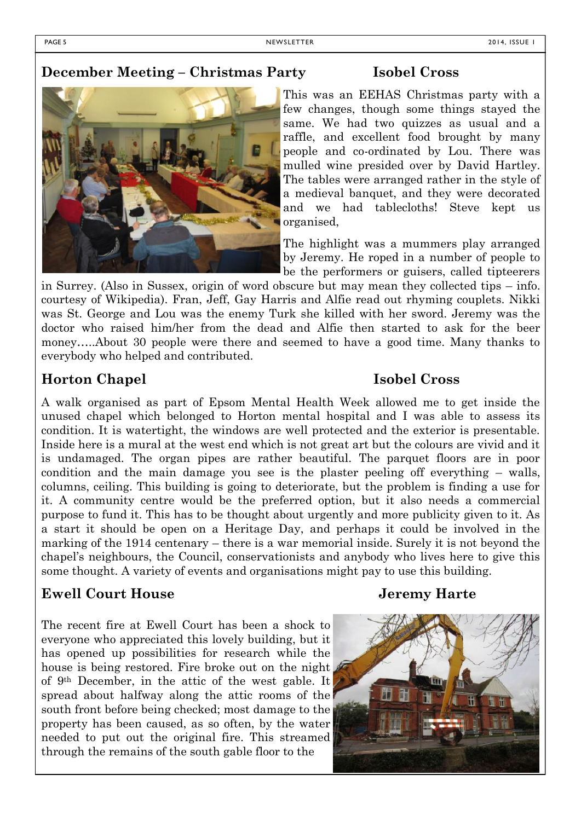# **December Meeting – Christmas Party Isobel Cross**



This was an EEHAS Christmas party with a few changes, though some things stayed the same. We had two quizzes as usual and a raffle, and excellent food brought by many people and co-ordinated by Lou. There was mulled wine presided over by David Hartley. The tables were arranged rather in the style of a medieval banquet, and they were decorated and we had tablecloths! Steve kept us organised,

The highlight was a mummers play arranged by Jeremy. He roped in a number of people to be the performers or guisers, called tipteerers

in Surrey. (Also in Sussex, origin of word obscure but may mean they collected tips – info. courtesy of Wikipedia). Fran, Jeff, Gay Harris and Alfie read out rhyming couplets. Nikki was St. George and Lou was the enemy Turk she killed with her sword. Jeremy was the doctor who raised him/her from the dead and Alfie then started to ask for the beer money…..About 30 people were there and seemed to have a good time. Many thanks to everybody who helped and contributed.

# **Horton Chapel Isobel Cross**

A walk organised as part of Epsom Mental Health Week allowed me to get inside the unused chapel which belonged to Horton mental hospital and I was able to assess its condition. It is watertight, the windows are well protected and the exterior is presentable. Inside here is a mural at the west end which is not great art but the colours are vivid and it is undamaged. The organ pipes are rather beautiful. The parquet floors are in poor condition and the main damage you see is the plaster peeling off everything – walls, columns, ceiling. This building is going to deteriorate, but the problem is finding a use for it. A community centre would be the preferred option, but it also needs a commercial purpose to fund it. This has to be thought about urgently and more publicity given to it. As a start it should be open on a Heritage Day, and perhaps it could be involved in the marking of the 1914 centenary – there is a war memorial inside. Surely it is not beyond the chapel's neighbours, the Council, conservationists and anybody who lives here to give this some thought. A variety of events and organisations might pay to use this building.

# **Ewell Court House Jeremy Harte**

The recent fire at Ewell Court has been a shock to everyone who appreciated this lovely building, but it has opened up possibilities for research while the house is being restored. Fire broke out on the night of 9th December, in the attic of the west gable. It spread about halfway along the attic rooms of the south front before being checked; most damage to the property has been caused, as so often, by the water needed to put out the original fire. This streamed through the remains of the south gable floor to the

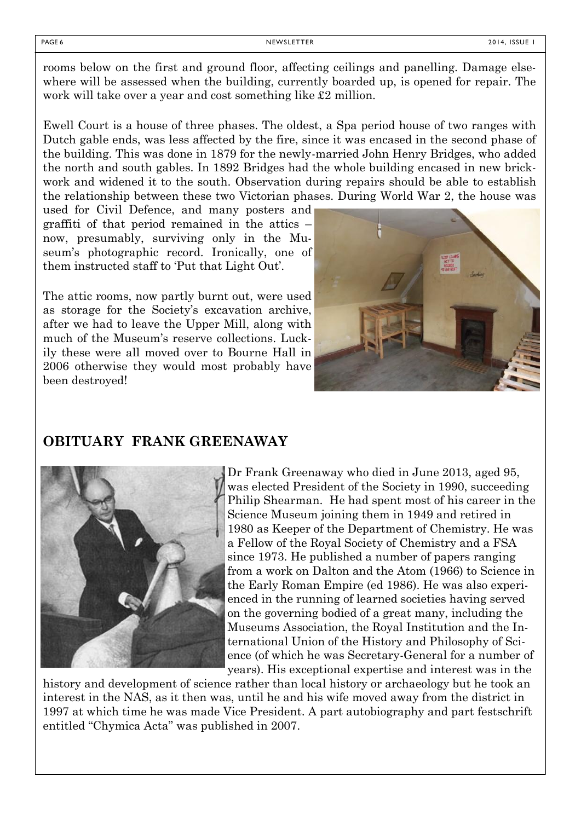rooms below on the first and ground floor, affecting ceilings and panelling. Damage elsewhere will be assessed when the building, currently boarded up, is opened for repair. The work will take over a year and cost something like £2 million.

Ewell Court is a house of three phases. The oldest, a Spa period house of two ranges with Dutch gable ends, was less affected by the fire, since it was encased in the second phase of the building. This was done in 1879 for the newly-married John Henry Bridges, who added the north and south gables. In 1892 Bridges had the whole building encased in new brickwork and widened it to the south. Observation during repairs should be able to establish the relationship between these two Victorian phases. During World War 2, the house was

used for Civil Defence, and many posters and graffiti of that period remained in the attics – now, presumably, surviving only in the Museum's photographic record. Ironically, one of them instructed staff to 'Put that Light Out'.

The attic rooms, now partly burnt out, were used as storage for the Society's excavation archive, after we had to leave the Upper Mill, along with much of the Museum's reserve collections. Luckily these were all moved over to Bourne Hall in 2006 otherwise they would most probably have been destroyed!



# **OBITUARY FRANK GREENAWAY**



Dr Frank Greenaway who died in June 2013, aged 95, was elected President of the Society in 1990, succeeding Philip Shearman. He had spent most of his career in the Science Museum joining them in 1949 and retired in 1980 as Keeper of the Department of Chemistry. He was a Fellow of the Royal Society of Chemistry and a FSA since 1973. He published a number of papers ranging from a work on Dalton and the Atom (1966) to Science in the Early Roman Empire (ed 1986). He was also experienced in the running of learned societies having served on the governing bodied of a great many, including the Museums Association, the Royal Institution and the International Union of the History and Philosophy of Science (of which he was Secretary-General for a number of years). His exceptional expertise and interest was in the

history and development of science rather than local history or archaeology but he took an interest in the NAS, as it then was, until he and his wife moved away from the district in 1997 at which time he was made Vice President. A part autobiography and part festschrift entitled "Chymica Acta" was published in 2007.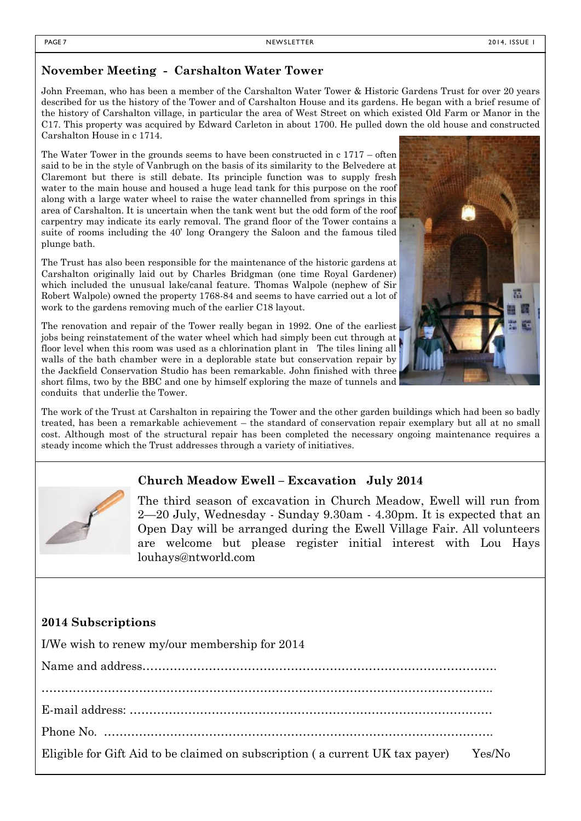# **November Meeting - Carshalton Water Tower**

John Freeman, who has been a member of the Carshalton Water Tower & Historic Gardens Trust for over 20 years described for us the history of the Tower and of Carshalton House and its gardens. He began with a brief resume of the history of Carshalton village, in particular the area of West Street on which existed Old Farm or Manor in the C17. This property was acquired by Edward Carleton in about 1700. He pulled down the old house and constructed Carshalton House in c 1714.

The Water Tower in the grounds seems to have been constructed in c 1717 – often said to be in the style of Vanbrugh on the basis of its similarity to the Belvedere at Claremont but there is still debate. Its principle function was to supply fresh water to the main house and housed a huge lead tank for this purpose on the roof along with a large water wheel to raise the water channelled from springs in this area of Carshalton. It is uncertain when the tank went but the odd form of the roof carpentry may indicate its early removal. The grand floor of the Tower contains a suite of rooms including the 40' long Orangery the Saloon and the famous tiled plunge bath.

The Trust has also been responsible for the maintenance of the historic gardens at Carshalton originally laid out by Charles Bridgman (one time Royal Gardener) which included the unusual lake/canal feature. Thomas Walpole (nephew of Sir Robert Walpole) owned the property 1768-84 and seems to have carried out a lot of work to the gardens removing much of the earlier C18 layout.

The renovation and repair of the Tower really began in 1992. One of the earliest jobs being reinstatement of the water wheel which had simply been cut through at floor level when this room was used as a chlorination plant in The tiles lining all walls of the bath chamber were in a deplorable state but conservation repair by the Jackfield Conservation Studio has been remarkable. John finished with three short films, two by the BBC and one by himself exploring the maze of tunnels and conduits that underlie the Tower.

The work of the Trust at Carshalton in repairing the Tower and the other garden buildings which had been so badly treated, has been a remarkable achievement – the standard of conservation repair exemplary but all at no small cost. Although most of the structural repair has been completed the necessary ongoing maintenance requires a steady income which the Trust addresses through a variety of initiatives.

# **Church Meadow Ewell – Excavation July 2014**

The third season of excavation in Church Meadow, Ewell will run from 2—20 July, Wednesday - Sunday 9.30am - 4.30pm. It is expected that an Open Day will be arranged during the Ewell Village Fair. All volunteers are welcome but please register initial interest with Lou Hays louhays@ntworld.com

# **2014 Subscriptions**

I/We wish to renew my/our membership for 2014

Name and address………………………………………………………………………………. ……………………………………………………………………………………………………..

E-mail address: …………………………………………………………………………………

Phone No. ……………………………………………………………………………………….

Eligible for Gift Aid to be claimed on subscription ( a current UK tax payer) Yes/No



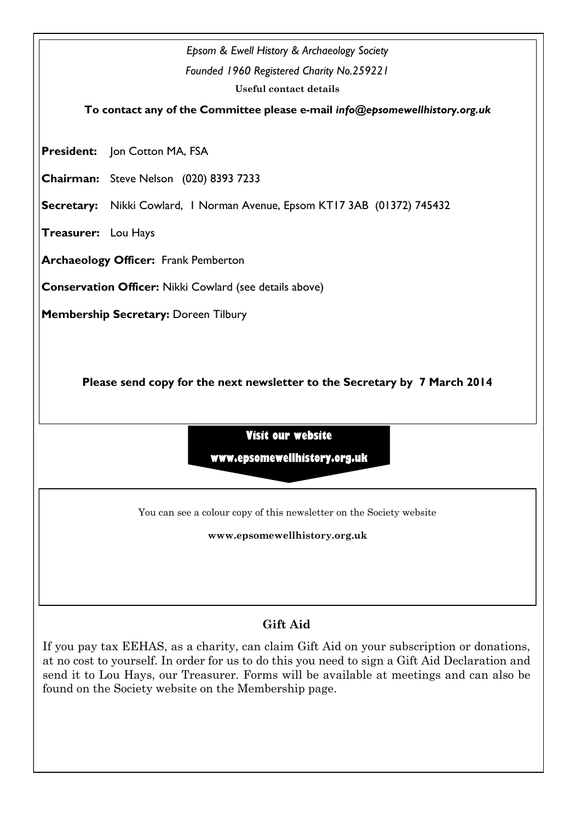

If you pay tax EEHAS, as a charity, can claim Gift Aid on your subscription or donations, at no cost to yourself. In order for us to do this you need to sign a Gift Aid Declaration and send it to Lou Hays, our Treasurer. Forms will be available at meetings and can also be found on the Society website on the Membership page.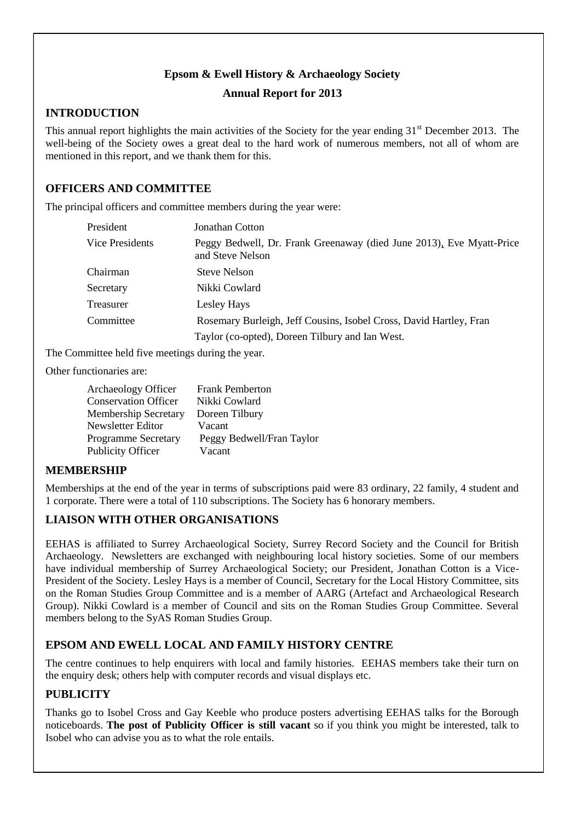## **Epsom & Ewell History & Archaeology Society**

#### **Annual Report for 2013**

#### **INTRODUCTION**

This annual report highlights the main activities of the Society for the year ending  $31<sup>st</sup>$  December 2013. The well-being of the Society owes a great deal to the hard work of numerous members, not all of whom are mentioned in this report, and we thank them for this.

# **OFFICERS AND COMMITTEE**

The principal officers and committee members during the year were:

| President       | Jonathan Cotton                                                                          |  |
|-----------------|------------------------------------------------------------------------------------------|--|
| Vice Presidents | Peggy Bedwell, Dr. Frank Greenaway (died June 2013), Eve Myatt-Price<br>and Steve Nelson |  |
| Chairman        | <b>Steve Nelson</b>                                                                      |  |
| Secretary       | Nikki Cowlard                                                                            |  |
| Treasurer       | Lesley Hays                                                                              |  |
| Committee       | Rosemary Burleigh, Jeff Cousins, Isobel Cross, David Hartley, Fran                       |  |
|                 | Taylor (co-opted), Doreen Tilbury and Ian West.                                          |  |

The Committee held five meetings during the year.

Other functionaries are:

| <b>Frank Pemberton</b>    |
|---------------------------|
| Nikki Cowlard             |
| Doreen Tilbury            |
| Vacant                    |
| Peggy Bedwell/Fran Taylor |
| Vacant                    |
|                           |

#### **MEMBERSHIP**

Memberships at the end of the year in terms of subscriptions paid were 83 ordinary, 22 family, 4 student and 1 corporate. There were a total of 110 subscriptions. The Society has 6 honorary members.

### **LIAISON WITH OTHER ORGANISATIONS**

EEHAS is affiliated to Surrey Archaeological Society, Surrey Record Society and the Council for British Archaeology. Newsletters are exchanged with neighbouring local history societies. Some of our members have individual membership of Surrey Archaeological Society; our President, Jonathan Cotton is a Vice-President of the Society. Lesley Hays is a member of Council, Secretary for the Local History Committee, sits on the Roman Studies Group Committee and is a member of AARG (Artefact and Archaeological Research Group). Nikki Cowlard is a member of Council and sits on the Roman Studies Group Committee. Several members belong to the SyAS Roman Studies Group.

# **EPSOM AND EWELL LOCAL AND FAMILY HISTORY CENTRE**

The centre continues to help enquirers with local and family histories. EEHAS members take their turn on the enquiry desk; others help with computer records and visual displays etc.

#### **PUBLICITY**

Thanks go to Isobel Cross and Gay Keeble who produce posters advertising EEHAS talks for the Borough noticeboards. **The post of Publicity Officer is still vacant** so if you think you might be interested, talk to Isobel who can advise you as to what the role entails.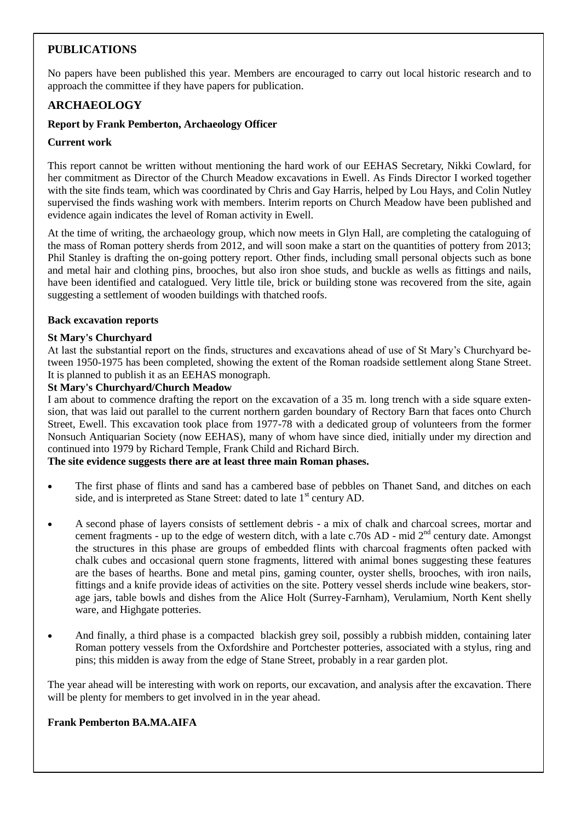# **PUBLICATIONS**

No papers have been published this year. Members are encouraged to carry out local historic research and to approach the committee if they have papers for publication.

### **ARCHAEOLOGY**

#### **Report by Frank Pemberton, Archaeology Officer**

#### **Current work**

This report cannot be written without mentioning the hard work of our EEHAS Secretary, Nikki Cowlard, for her commitment as Director of the Church Meadow excavations in Ewell. As Finds Director I worked together with the site finds team, which was coordinated by Chris and Gay Harris, helped by Lou Hays, and Colin Nutley supervised the finds washing work with members. Interim reports on Church Meadow have been published and evidence again indicates the level of Roman activity in Ewell.

At the time of writing, the archaeology group, which now meets in Glyn Hall, are completing the cataloguing of the mass of Roman pottery sherds from 2012, and will soon make a start on the quantities of pottery from 2013; Phil Stanley is drafting the on-going pottery report. Other finds, including small personal objects such as bone and metal hair and clothing pins, brooches, but also iron shoe studs, and buckle as wells as fittings and nails, have been identified and catalogued. Very little tile, brick or building stone was recovered from the site, again suggesting a settlement of wooden buildings with thatched roofs.

#### **Back excavation reports**

#### **St Mary's Churchyard**

At last the substantial report on the finds, structures and excavations ahead of use of St Mary's Churchyard between 1950-1975 has been completed, showing the extent of the Roman roadside settlement along Stane Street. It is planned to publish it as an EEHAS monograph.

#### **St Mary's Churchyard/Church Meadow**

I am about to commence drafting the report on the excavation of a 35 m. long trench with a side square extension, that was laid out parallel to the current northern garden boundary of Rectory Barn that faces onto Church Street, Ewell. This excavation took place from 1977-78 with a dedicated group of volunteers from the former Nonsuch Antiquarian Society (now EEHAS), many of whom have since died, initially under my direction and continued into 1979 by Richard Temple, Frank Child and Richard Birch.

#### **The site evidence suggests there are at least three main Roman phases.**

- The first phase of flints and sand has a cambered base of pebbles on Thanet Sand, and ditches on each side, and is interpreted as Stane Street: dated to late  $1<sup>st</sup>$  century AD.
- A second phase of layers consists of settlement debris a mix of chalk and charcoal screes, mortar and cement fragments - up to the edge of western ditch, with a late c.70s AD - mid  $2<sup>nd</sup>$  century date. Amongst the structures in this phase are groups of embedded flints with charcoal fragments often packed with chalk cubes and occasional quern stone fragments, littered with animal bones suggesting these features are the bases of hearths. Bone and metal pins, gaming counter, oyster shells, brooches, with iron nails, fittings and a knife provide ideas of activities on the site. Pottery vessel sherds include wine beakers, storage jars, table bowls and dishes from the Alice Holt (Surrey-Farnham), Verulamium, North Kent shelly ware, and Highgate potteries.
- And finally, a third phase is a compacted blackish grey soil, possibly a rubbish midden, containing later Roman pottery vessels from the Oxfordshire and Portchester potteries, associated with a stylus, ring and pins; this midden is away from the edge of Stane Street, probably in a rear garden plot.

The year ahead will be interesting with work on reports, our excavation, and analysis after the excavation. There will be plenty for members to get involved in in the year ahead.

#### **Frank Pemberton BA.MA.AIFA**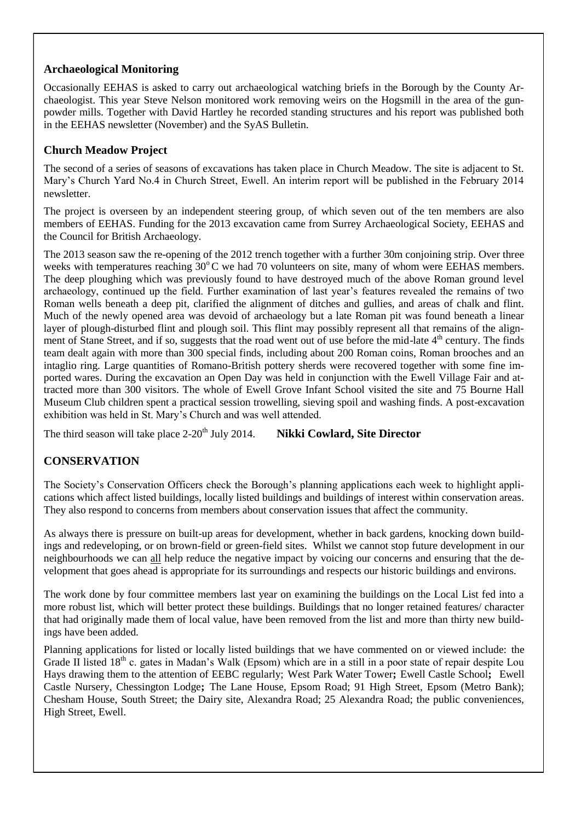## **Archaeological Monitoring**

Occasionally EEHAS is asked to carry out archaeological watching briefs in the Borough by the County Archaeologist. This year Steve Nelson monitored work removing weirs on the Hogsmill in the area of the gunpowder mills. Together with David Hartley he recorded standing structures and his report was published both in the EEHAS newsletter (November) and the SyAS Bulletin.

## **Church Meadow Project**

The second of a series of seasons of excavations has taken place in Church Meadow. The site is adjacent to St. Mary's Church Yard No.4 in Church Street, Ewell. An interim report will be published in the February 2014 newsletter.

The project is overseen by an independent steering group, of which seven out of the ten members are also members of EEHAS. Funding for the 2013 excavation came from Surrey Archaeological Society, EEHAS and the Council for British Archaeology.

The 2013 season saw the re-opening of the 2012 trench together with a further 30m conjoining strip. Over three weeks with temperatures reaching  $30^{\circ}$ C we had 70 volunteers on site, many of whom were EEHAS members. The deep ploughing which was previously found to have destroyed much of the above Roman ground level archaeology, continued up the field. Further examination of last year's features revealed the remains of two Roman wells beneath a deep pit, clarified the alignment of ditches and gullies, and areas of chalk and flint. Much of the newly opened area was devoid of archaeology but a late Roman pit was found beneath a linear layer of plough-disturbed flint and plough soil. This flint may possibly represent all that remains of the alignment of Stane Street, and if so, suggests that the road went out of use before the mid-late 4<sup>th</sup> century. The finds team dealt again with more than 300 special finds, including about 200 Roman coins, Roman brooches and an intaglio ring. Large quantities of Romano-British pottery sherds were recovered together with some fine imported wares. During the excavation an Open Day was held in conjunction with the Ewell Village Fair and attracted more than 300 visitors. The whole of Ewell Grove Infant School visited the site and 75 Bourne Hall Museum Club children spent a practical session trowelling, sieving spoil and washing finds. A post-excavation exhibition was held in St. Mary's Church and was well attended.

The third season will take place 2-20<sup>th</sup> July 2014. **Nikki Cowlard, Site Director** 

# **CONSERVATION**

The Society's Conservation Officers check the Borough's planning applications each week to highlight applications which affect listed buildings, locally listed buildings and buildings of interest within conservation areas. They also respond to concerns from members about conservation issues that affect the community.

As always there is pressure on built-up areas for development, whether in back gardens, knocking down buildings and redeveloping, or on brown-field or green-field sites. Whilst we cannot stop future development in our neighbourhoods we can all help reduce the negative impact by voicing our concerns and ensuring that the development that goes ahead is appropriate for its surroundings and respects our historic buildings and environs.

The work done by four committee members last year on examining the buildings on the Local List fed into a more robust list, which will better protect these buildings. Buildings that no longer retained features/ character that had originally made them of local value, have been removed from the list and more than thirty new buildings have been added.

Planning applications for listed or locally listed buildings that we have commented on or viewed include: the Grade II listed  $18<sup>th</sup>$  c. gates in Madan's Walk (Epsom) which are in a still in a poor state of repair despite Lou Hays drawing them to the attention of EEBC regularly; West Park Water Tower**;** Ewell Castle School**;** Ewell Castle Nursery, Chessington Lodge**;** The Lane House, Epsom Road; 91 High Street, Epsom (Metro Bank); Chesham House, South Street; the Dairy site, Alexandra Road; 25 Alexandra Road; the public conveniences, High Street, Ewell.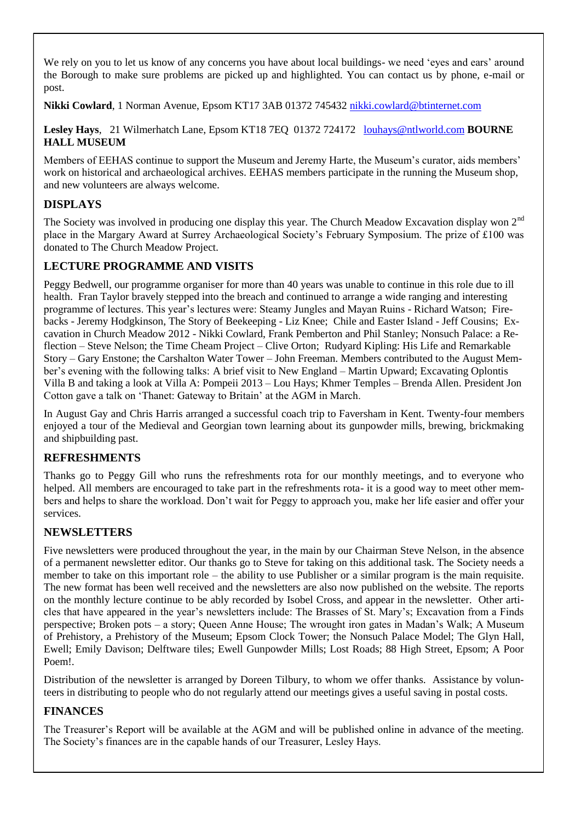We rely on you to let us know of any concerns you have about local buildings- we need 'eyes and ears' around the Borough to make sure problems are picked up and highlighted. You can contact us by phone, e-mail or post.

**Nikki Cowlard**, 1 Norman Avenue, Epsom KT17 3AB 01372 745432 [nikki.cowlard@btinternet.com](mailto:nikki.cowlard@btinternet.com)

### **Lesley Hays**, 21 Wilmerhatch Lane, Epsom KT18 7EQ 01372 724172 [louhays@ntlworld.com](mailto:louhays@ntlworld.com) **BOURNE HALL MUSEUM**

Members of EEHAS continue to support the Museum and Jeremy Harte, the Museum's curator, aids members' work on historical and archaeological archives. EEHAS members participate in the running the Museum shop, and new volunteers are always welcome.

# **DISPLAYS**

The Society was involved in producing one display this year. The Church Meadow Excavation display won 2<sup>nd</sup> place in the Margary Award at Surrey Archaeological Society's February Symposium. The prize of £100 was donated to The Church Meadow Project.

# **LECTURE PROGRAMME AND VISITS**

Peggy Bedwell, our programme organiser for more than 40 years was unable to continue in this role due to ill health. Fran Taylor bravely stepped into the breach and continued to arrange a wide ranging and interesting programme of lectures. This year's lectures were: Steamy Jungles and Mayan Ruins - Richard Watson; Firebacks - Jeremy Hodgkinson, The Story of Beekeeping - Liz Knee; Chile and Easter Island - Jeff Cousins; Excavation in Church Meadow 2012 - Nikki Cowlard, Frank Pemberton and Phil Stanley; Nonsuch Palace: a Reflection – Steve Nelson; the Time Cheam Project – Clive Orton; Rudyard Kipling: His Life and Remarkable Story – Gary Enstone; the Carshalton Water Tower – John Freeman. Members contributed to the August Member's evening with the following talks: A brief visit to New England – Martin Upward; Excavating Oplontis Villa B and taking a look at Villa A: Pompeii 2013 – Lou Hays; Khmer Temples – Brenda Allen. President Jon Cotton gave a talk on 'Thanet: Gateway to Britain' at the AGM in March.

In August Gay and Chris Harris arranged a successful coach trip to Faversham in Kent. Twenty-four members enjoyed a tour of the Medieval and Georgian town learning about its gunpowder mills, brewing, brickmaking and shipbuilding past.

# **REFRESHMENTS**

Thanks go to Peggy Gill who runs the refreshments rota for our monthly meetings, and to everyone who helped. All members are encouraged to take part in the refreshments rota- it is a good way to meet other members and helps to share the workload. Don't wait for Peggy to approach you, make her life easier and offer your services.

# **NEWSLETTERS**

Five newsletters were produced throughout the year, in the main by our Chairman Steve Nelson, in the absence of a permanent newsletter editor. Our thanks go to Steve for taking on this additional task. The Society needs a member to take on this important role – the ability to use Publisher or a similar program is the main requisite. The new format has been well received and the newsletters are also now published on the website. The reports on the monthly lecture continue to be ably recorded by Isobel Cross, and appear in the newsletter. Other articles that have appeared in the year's newsletters include: The Brasses of St. Mary's; Excavation from a Finds perspective; Broken pots – a story; Queen Anne House; The wrought iron gates in Madan's Walk; A Museum of Prehistory, a Prehistory of the Museum; Epsom Clock Tower; the Nonsuch Palace Model; The Glyn Hall, Ewell; Emily Davison; Delftware tiles; Ewell Gunpowder Mills; Lost Roads; 88 High Street, Epsom; A Poor Poem!.

Distribution of the newsletter is arranged by Doreen Tilbury, to whom we offer thanks. Assistance by volunteers in distributing to people who do not regularly attend our meetings gives a useful saving in postal costs.

# **FINANCES**

The Treasurer's Report will be available at the AGM and will be published online in advance of the meeting. The Society's finances are in the capable hands of our Treasurer, Lesley Hays.